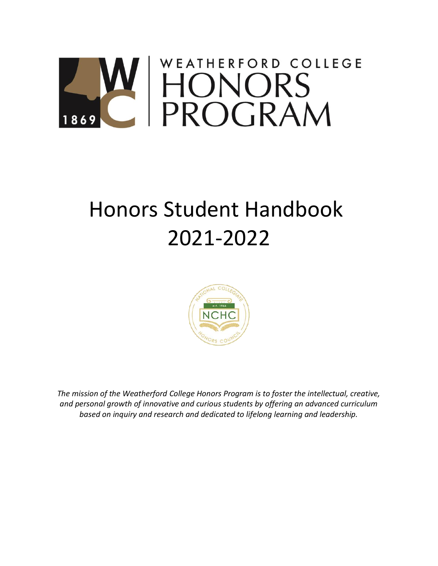# WEATHERFORD COLLEGE W HONORS<br>C PROGRAM

# Honors Student Handbook 2021-2022



*The mission of the Weatherford College Honors Program is to foster the intellectual, creative, and personal growth of innovative and curious students by offering an advanced curriculum based on inquiry and research and dedicated to lifelong learning and leadership.*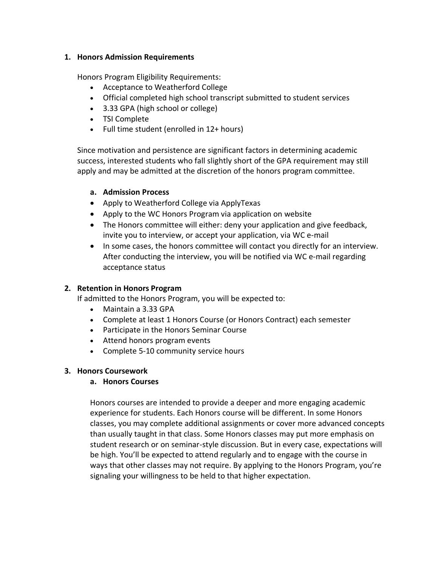#### **1. Honors Admission Requirements**

Honors Program Eligibility Requirements:

- Acceptance to Weatherford College
- Official completed high school transcript submitted to student services
- 3.33 GPA (high school or college)
- TSI Complete
- Full time student (enrolled in 12+ hours)

Since motivation and persistence are significant factors in determining academic success, interested students who fall slightly short of the GPA requirement may still apply and may be admitted at the discretion of the honors program committee.

# **a. Admission Process**

- Apply to Weatherford College via ApplyTexas
- Apply to the WC Honors Program via application on website
- The Honors committee will either: deny your application and give feedback, invite you to interview, or accept your application, via WC e-mail
- In some cases, the honors committee will contact you directly for an interview. After conducting the interview, you will be notified via WC e-mail regarding acceptance status

# **2. Retention in Honors Program**

If admitted to the Honors Program, you will be expected to:

- Maintain a 3.33 GPA
- Complete at least 1 Honors Course (or Honors Contract) each semester
- Participate in the Honors Seminar Course
- Attend honors program events
- Complete 5-10 community service hours

# **3. Honors Coursework**

# **a. Honors Courses**

Honors courses are intended to provide a deeper and more engaging academic experience for students. Each Honors course will be different. In some Honors classes, you may complete additional assignments or cover more advanced concepts than usually taught in that class. Some Honors classes may put more emphasis on student research or on seminar-style discussion. But in every case, expectations will be high. You'll be expected to attend regularly and to engage with the course in ways that other classes may not require. By applying to the Honors Program, you're signaling your willingness to be held to that higher expectation.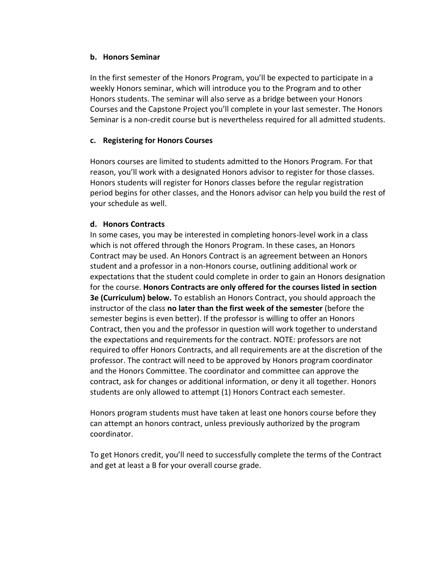#### **b. Honors Seminar**

In the first semester of the Honors Program, you'll be expected to participate in a weekly Honors seminar, which will introduce you to the Program and to other Honors students. The seminar will also serve as a bridge between your Honors Courses and the Capstone Project you'll complete in your last semester. The Honors Seminar is a non-credit course but is nevertheless required for all admitted students.

#### **c. Registering for Honors Courses**

Honors courses are limited to students admitted to the Honors Program. For that reason, you'll work with a designated Honors advisor to register for those classes. Honors students will register for Honors classes before the regular registration period begins for other classes, and the Honors advisor can help you build the rest of your schedule as well.

#### **d. Honors Contracts**

In some cases, you may be interested in completing honors-level work in a class which is not offered through the Honors Program. In these cases, an Honors Contract may be used. An Honors Contract is an agreement between an Honors student and a professor in a non-Honors course, outlining additional work or expectations that the student could complete in order to gain an Honors designation for the course. **Honors Contracts are only offered for the courses listed in section 3e (Curriculum) below.** To establish an Honors Contract, you should approach the instructor of the class **no later than the first week of the semester** (before the semester begins is even better). If the professor is willing to offer an Honors Contract, then you and the professor in question will work together to understand the expectations and requirements for the contract. NOTE: professors are not required to offer Honors Contracts, and all requirements are at the discretion of the professor. The contract will need to be approved by Honors program coordinator and the Honors Committee. The coordinator and committee can approve the contract, ask for changes or additional information, or deny it all together. Honors students are only allowed to attempt (1) Honors Contract each semester.

Honors program students must have taken at least one honors course before they can attempt an honors contract, unless previously authorized by the program coordinator.

To get Honors credit, you'll need to successfully complete the terms of the Contract and get at least a B for your overall course grade.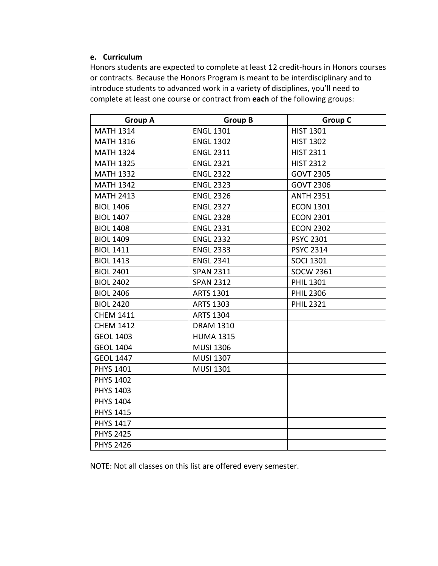#### **e. Curriculum**

Honors students are expected to complete at least 12 credit-hours in Honors courses or contracts. Because the Honors Program is meant to be interdisciplinary and to introduce students to advanced work in a variety of disciplines, you'll need to complete at least one course or contract from **each** of the following groups:

| <b>Group A</b>   | <b>Group B</b>   | <b>Group C</b>   |
|------------------|------------------|------------------|
| <b>MATH 1314</b> | <b>ENGL 1301</b> | <b>HIST 1301</b> |
| <b>MATH 1316</b> | <b>ENGL 1302</b> | <b>HIST 1302</b> |
| <b>MATH 1324</b> | <b>ENGL 2311</b> | <b>HIST 2311</b> |
| <b>MATH 1325</b> | <b>ENGL 2321</b> | <b>HIST 2312</b> |
| <b>MATH 1332</b> | <b>ENGL 2322</b> | <b>GOVT 2305</b> |
| <b>MATH 1342</b> | <b>ENGL 2323</b> | <b>GOVT 2306</b> |
| <b>MATH 2413</b> | <b>ENGL 2326</b> | <b>ANTH 2351</b> |
| <b>BIOL 1406</b> | <b>ENGL 2327</b> | <b>ECON 1301</b> |
| <b>BIOL 1407</b> | <b>ENGL 2328</b> | <b>ECON 2301</b> |
| <b>BIOL 1408</b> | <b>ENGL 2331</b> | <b>ECON 2302</b> |
| <b>BIOL 1409</b> | <b>ENGL 2332</b> | <b>PSYC 2301</b> |
| <b>BIOL 1411</b> | <b>ENGL 2333</b> | <b>PSYC 2314</b> |
| <b>BIOL 1413</b> | <b>ENGL 2341</b> | <b>SOCI 1301</b> |
| <b>BIOL 2401</b> | <b>SPAN 2311</b> | <b>SOCW 2361</b> |
| <b>BIOL 2402</b> | <b>SPAN 2312</b> | <b>PHIL 1301</b> |
| <b>BIOL 2406</b> | <b>ARTS 1301</b> | <b>PHIL 2306</b> |
| <b>BIOL 2420</b> | <b>ARTS 1303</b> | <b>PHIL 2321</b> |
| <b>CHEM 1411</b> | <b>ARTS 1304</b> |                  |
| <b>CHEM 1412</b> | <b>DRAM 1310</b> |                  |
| <b>GEOL 1403</b> | <b>HUMA 1315</b> |                  |
| <b>GEOL 1404</b> | <b>MUSI 1306</b> |                  |
| <b>GEOL 1447</b> | <b>MUSI 1307</b> |                  |
| <b>PHYS 1401</b> | <b>MUSI 1301</b> |                  |
| <b>PHYS 1402</b> |                  |                  |
| PHYS 1403        |                  |                  |
| <b>PHYS 1404</b> |                  |                  |
| <b>PHYS 1415</b> |                  |                  |
| <b>PHYS 1417</b> |                  |                  |
| <b>PHYS 2425</b> |                  |                  |
| <b>PHYS 2426</b> |                  |                  |

NOTE: Not all classes on this list are offered every semester.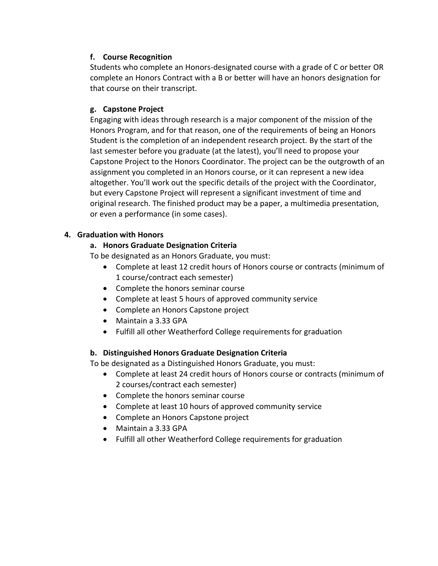### **f. Course Recognition**

Students who complete an Honors-designated course with a grade of C or better OR complete an Honors Contract with a B or better will have an honors designation for that course on their transcript.

#### **g. Capstone Project**

Engaging with ideas through research is a major component of the mission of the Honors Program, and for that reason, one of the requirements of being an Honors Student is the completion of an independent research project. By the start of the last semester before you graduate (at the latest), you'll need to propose your Capstone Project to the Honors Coordinator. The project can be the outgrowth of an assignment you completed in an Honors course, or it can represent a new idea altogether. You'll work out the specific details of the project with the Coordinator, but every Capstone Project will represent a significant investment of time and original research. The finished product may be a paper, a multimedia presentation, or even a performance (in some cases).

#### **4. Graduation with Honors**

#### **a. Honors Graduate Designation Criteria**

To be designated as an Honors Graduate, you must:

- Complete at least 12 credit hours of Honors course or contracts (minimum of 1 course/contract each semester)
- Complete the honors seminar course
- Complete at least 5 hours of approved community service
- Complete an Honors Capstone project
- Maintain a 3.33 GPA
- Fulfill all other Weatherford College requirements for graduation

#### **b. Distinguished Honors Graduate Designation Criteria**

To be designated as a Distinguished Honors Graduate, you must:

- Complete at least 24 credit hours of Honors course or contracts (minimum of 2 courses/contract each semester)
- Complete the honors seminar course
- Complete at least 10 hours of approved community service
- Complete an Honors Capstone project
- Maintain a 3.33 GPA
- Fulfill all other Weatherford College requirements for graduation